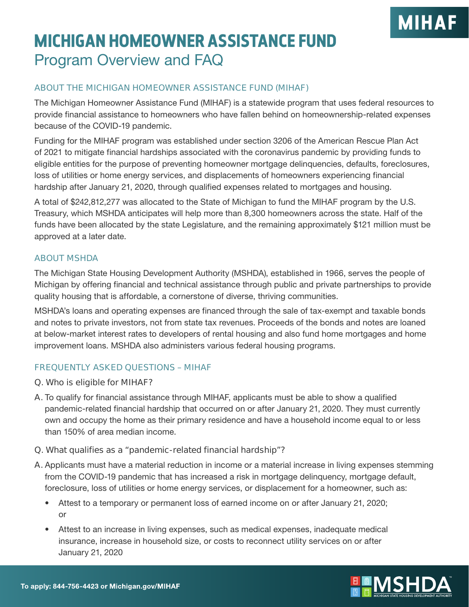# **MIHAF**

### **MICHIGAN HOMEOWNER ASSISTANCE FUND** Program Overview and FAQ

#### **ABOUT THE MICHIGAN HOMEOWNER ASSISTANCE FUND (MIHAF)**

The Michigan Homeowner Assistance Fund (MIHAF) is a statewide program that uses federal resources to provide financial assistance to homeowners who have fallen behind on homeownership-related expenses because of the COVID-19 pandemic.

Funding for the MIHAF program was established under section 3206 of the American Rescue Plan Act of 2021 to mitigate financial hardships associated with the coronavirus pandemic by providing funds to eligible entities for the purpose of preventing homeowner mortgage delinquencies, defaults, foreclosures, loss of utilities or home energy services, and displacements of homeowners experiencing financial hardship after January 21, 2020, through qualified expenses related to mortgages and housing.

A total of \$242,812,277 was allocated to the State of Michigan to fund the MIHAF program by the U.S. Treasury, which MSHDA anticipates will help more than 8,300 homeowners across the state. Half of the funds have been allocated by the state Legislature, and the remaining approximately \$121 million must be approved at a later date.

#### **ABOUT MSHDA**

The Michigan State Housing Development Authority (MSHDA), established in 1966, serves the people of Michigan by offering financial and technical assistance through public and private partnerships to provide quality housing that is affordable, a cornerstone of diverse, thriving communities.

MSHDA's loans and operating expenses are financed through the sale of tax-exempt and taxable bonds and notes to private investors, not from state tax revenues. Proceeds of the bonds and notes are loaned at below-market interest rates to developers of rental housing and also fund home mortgages and home improvement loans. MSHDA also administers various federal housing programs.

#### **FREQUENTLY ASKED QUESTIONS – MIHAF**

#### **Q. Who is eligible for MIHAF?**

**A.** To qualify for financial assistance through MIHAF, applicants must be able to show a qualified pandemic-related financial hardship that occurred on or after January 21, 2020. They must currently own and occupy the home as their primary residence and have a household income equal to or less than 150% of area median income.

#### **Q. What qualifies as a "pandemic-related financial hardship"?**

- **A.** Applicants must have a material reduction in income or a material increase in living expenses stemming from the COVID-19 pandemic that has increased a risk in mortgage delinquency, mortgage default, foreclosure, loss of utilities or home energy services, or displacement for a homeowner, such as:
	- Attest to a temporary or permanent loss of earned income on or after January 21, 2020; or
	- Attest to an increase in living expenses, such as medical expenses, inadequate medical insurance, increase in household size, or costs to reconnect utility services on or after January 21, 2020